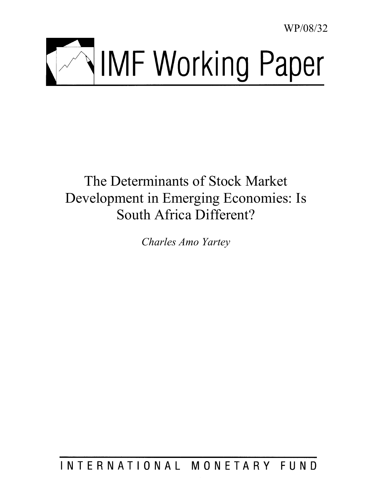WP/08/32



# The Determinants of Stock Market Development in Emerging Economies: Is South Africa Different?

*Charles Amo Yartey* 

INTERNATIONAL MONETARY FUND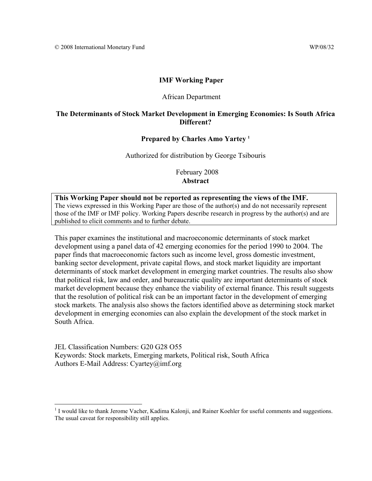## **IMF Working Paper**

## African Department

## **The Determinants of Stock Market Development in Emerging Economies: Is South Africa Different?**

## **Prepared by Charles Amo Yartey 1**

Authorized for distribution by George Tsibouris

February 2008 **Abstract** 

**This Working Paper should not be reported as representing the views of the IMF.** The views expressed in this Working Paper are those of the author(s) and do not necessarily represent those of the IMF or IMF policy. Working Papers describe research in progress by the author(s) and are published to elicit comments and to further debate.

This paper examines the institutional and macroeconomic determinants of stock market development using a panel data of 42 emerging economies for the period 1990 to 2004. The paper finds that macroeconomic factors such as income level, gross domestic investment, banking sector development, private capital flows, and stock market liquidity are important determinants of stock market development in emerging market countries. The results also show that political risk, law and order, and bureaucratic quality are important determinants of stock market development because they enhance the viability of external finance. This result suggests that the resolution of political risk can be an important factor in the development of emerging stock markets. The analysis also shows the factors identified above as determining stock market development in emerging economies can also explain the development of the stock market in South Africa.

JEL Classification Numbers: G20 G28 O55 Keywords: Stock markets, Emerging markets, Political risk, South Africa Authors E-Mail Address: Cyartey@imf.org

 $\overline{a}$ <sup>1</sup> I would like to thank Jerome Vacher, Kadima Kalonji, and Rainer Koehler for useful comments and suggestions. The usual caveat for responsibility still applies.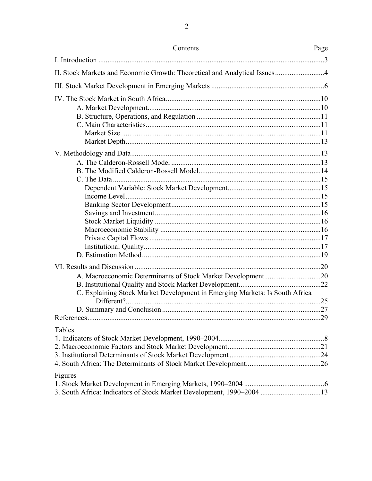| Contents                                                                    | Page |
|-----------------------------------------------------------------------------|------|
|                                                                             |      |
|                                                                             |      |
|                                                                             |      |
|                                                                             |      |
|                                                                             |      |
|                                                                             |      |
|                                                                             |      |
|                                                                             |      |
|                                                                             |      |
|                                                                             |      |
|                                                                             |      |
|                                                                             |      |
|                                                                             |      |
|                                                                             |      |
|                                                                             |      |
|                                                                             |      |
|                                                                             |      |
|                                                                             |      |
|                                                                             |      |
|                                                                             |      |
|                                                                             |      |
|                                                                             |      |
|                                                                             |      |
| C. Explaining Stock Market Development in Emerging Markets: Is South Africa |      |
|                                                                             |      |
|                                                                             |      |
|                                                                             | .29  |
| Tables                                                                      |      |
|                                                                             |      |
|                                                                             |      |
|                                                                             |      |
|                                                                             |      |
| Figures                                                                     |      |
|                                                                             |      |
| 3. South Africa: Indicators of Stock Market Development, 1990-2004 13       |      |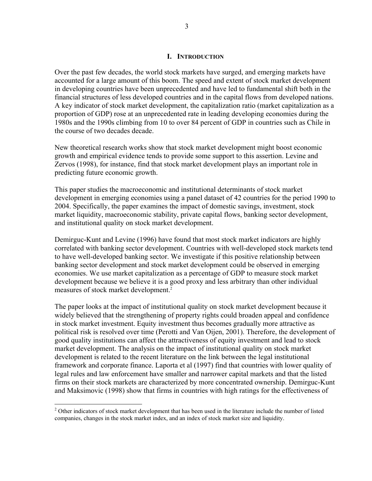#### **I. INTRODUCTION**

Over the past few decades, the world stock markets have surged, and emerging markets have accounted for a large amount of this boom. The speed and extent of stock market development in developing countries have been unprecedented and have led to fundamental shift both in the financial structures of less developed countries and in the capital flows from developed nations. A key indicator of stock market development, the capitalization ratio (market capitalization as a proportion of GDP) rose at an unprecedented rate in leading developing economies during the 1980s and the 1990s climbing from 10 to over 84 percent of GDP in countries such as Chile in the course of two decades decade.

New theoretical research works show that stock market development might boost economic growth and empirical evidence tends to provide some support to this assertion. Levine and Zervos (1998), for instance, find that stock market development plays an important role in predicting future economic growth.

This paper studies the macroeconomic and institutional determinants of stock market development in emerging economies using a panel dataset of 42 countries for the period 1990 to 2004. Specifically, the paper examines the impact of domestic savings, investment, stock market liquidity, macroeconomic stability, private capital flows, banking sector development, and institutional quality on stock market development.

Demirguc-Kunt and Levine (1996) have found that most stock market indicators are highly correlated with banking sector development. Countries with well-developed stock markets tend to have well-developed banking sector. We investigate if this positive relationship between banking sector development and stock market development could be observed in emerging economies. We use market capitalization as a percentage of GDP to measure stock market development because we believe it is a good proxy and less arbitrary than other individual measures of stock market development.<sup>2</sup>

The paper looks at the impact of institutional quality on stock market development because it widely believed that the strengthening of property rights could broaden appeal and confidence in stock market investment. Equity investment thus becomes gradually more attractive as political risk is resolved over time (Perotti and Van Oijen, 2001). Therefore, the development of good quality institutions can affect the attractiveness of equity investment and lead to stock market development. The analysis on the impact of institutional quality on stock market development is related to the recent literature on the link between the legal institutional framework and corporate finance. Laporta et al (1997) find that countries with lower quality of legal rules and law enforcement have smaller and narrower capital markets and that the listed firms on their stock markets are characterized by more concentrated ownership. Demirguc-Kunt and Maksimovic (1998) show that firms in countries with high ratings for the effectiveness of

1

 $2^2$  Other indicators of stock market development that has been used in the literature include the number of listed companies, changes in the stock market index, and an index of stock market size and liquidity.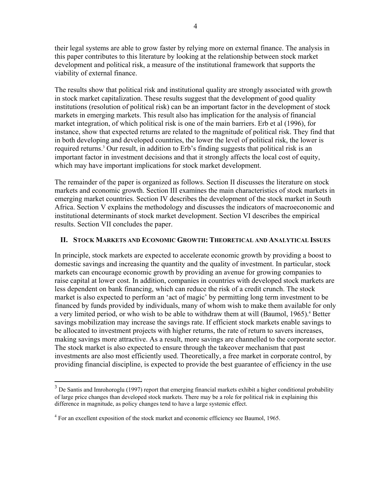their legal systems are able to grow faster by relying more on external finance. The analysis in this paper contributes to this literature by looking at the relationship between stock market development and political risk, a measure of the institutional framework that supports the viability of external finance.

The results show that political risk and institutional quality are strongly associated with growth in stock market capitalization. These results suggest that the development of good quality institutions (resolution of political risk) can be an important factor in the development of stock markets in emerging markets. This result also has implication for the analysis of financial market integration, of which political risk is one of the main barriers. Erb et al (1996), for instance, show that expected returns are related to the magnitude of political risk. They find that in both developing and developed countries, the lower the level of political risk, the lower is required returns.<sup>3</sup> Our result, in addition to Erb's finding suggests that political risk is an important factor in investment decisions and that it strongly affects the local cost of equity, which may have important implications for stock market development.

The remainder of the paper is organized as follows. Section II discusses the literature on stock markets and economic growth. Section III examines the main characteristics of stock markets in emerging market countries. Section IV describes the development of the stock market in South Africa. Section V explains the methodology and discusses the indicators of macroeconomic and institutional determinants of stock market development. Section VI describes the empirical results. Section VII concludes the paper.

# **II. STOCK MARKETS AND ECONOMIC GROWTH: THEORETICAL AND ANALYTICAL ISSUES**

In principle, stock markets are expected to accelerate economic growth by providing a boost to domestic savings and increasing the quantity and the quality of investment. In particular, stock markets can encourage economic growth by providing an avenue for growing companies to raise capital at lower cost. In addition, companies in countries with developed stock markets are less dependent on bank financing, which can reduce the risk of a credit crunch. The stock market is also expected to perform an 'act of magic' by permitting long term investment to be financed by funds provided by individuals, many of whom wish to make them available for only a very limited period, or who wish to be able to withdraw them at will (Baumol, 1965).<sup>4</sup> Better savings mobilization may increase the savings rate. If efficient stock markets enable savings to be allocated to investment projects with higher returns, the rate of return to savers increases, making savings more attractive. As a result, more savings are channelled to the corporate sector. The stock market is also expected to ensure through the takeover mechanism that past investments are also most efficiently used. Theoretically, a free market in corporate control, by providing financial discipline, is expected to provide the best guarantee of efficiency in the use

1

 $3$  De Santis and Imrohoroglu (1997) report that emerging financial markets exhibit a higher conditional probability of large price changes than developed stock markets. There may be a role for political risk in explaining this difference in magnitude, as policy changes tend to have a large systemic effect.

<sup>&</sup>lt;sup>4</sup> For an excellent exposition of the stock market and economic efficiency see Baumol, 1965.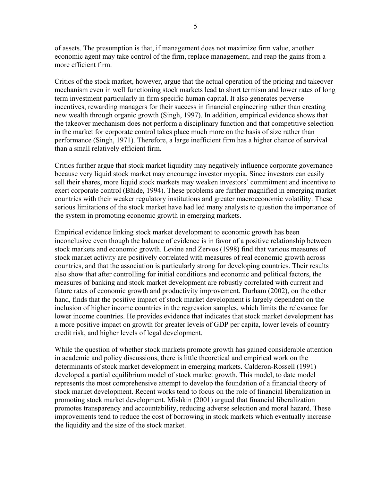of assets. The presumption is that, if management does not maximize firm value, another economic agent may take control of the firm, replace management, and reap the gains from a more efficient firm.

Critics of the stock market, however, argue that the actual operation of the pricing and takeover mechanism even in well functioning stock markets lead to short termism and lower rates of long term investment particularly in firm specific human capital. It also generates perverse incentives, rewarding managers for their success in financial engineering rather than creating new wealth through organic growth (Singh, 1997). In addition, empirical evidence shows that the takeover mechanism does not perform a disciplinary function and that competitive selection in the market for corporate control takes place much more on the basis of size rather than performance (Singh, 1971). Therefore, a large inefficient firm has a higher chance of survival than a small relatively efficient firm.

Critics further argue that stock market liquidity may negatively influence corporate governance because very liquid stock market may encourage investor myopia. Since investors can easily sell their shares, more liquid stock markets may weaken investors' commitment and incentive to exert corporate control (Bhide, 1994). These problems are further magnified in emerging market countries with their weaker regulatory institutions and greater macroeconomic volatility. These serious limitations of the stock market have had led many analysts to question the importance of the system in promoting economic growth in emerging markets.

Empirical evidence linking stock market development to economic growth has been inconclusive even though the balance of evidence is in favor of a positive relationship between stock markets and economic growth. Levine and Zervos (1998) find that various measures of stock market activity are positively correlated with measures of real economic growth across countries, and that the association is particularly strong for developing countries. Their results also show that after controlling for initial conditions and economic and political factors, the measures of banking and stock market development are robustly correlated with current and future rates of economic growth and productivity improvement. Durham (2002), on the other hand, finds that the positive impact of stock market development is largely dependent on the inclusion of higher income countries in the regression samples, which limits the relevance for lower income countries. He provides evidence that indicates that stock market development has a more positive impact on growth for greater levels of GDP per capita, lower levels of country credit risk, and higher levels of legal development.

While the question of whether stock markets promote growth has gained considerable attention in academic and policy discussions, there is little theoretical and empirical work on the determinants of stock market development in emerging markets. Calderon-Rossell (1991) developed a partial equilibrium model of stock market growth. This model, to date model represents the most comprehensive attempt to develop the foundation of a financial theory of stock market development. Recent works tend to focus on the role of financial liberalization in promoting stock market development. Mishkin (2001) argued that financial liberalization promotes transparency and accountability, reducing adverse selection and moral hazard. These improvements tend to reduce the cost of borrowing in stock markets which eventually increase the liquidity and the size of the stock market.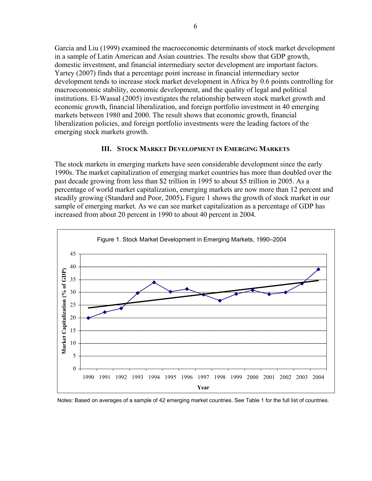Garcia and Liu (1999) examined the macroeconomic determinants of stock market development in a sample of Latin American and Asian countries. The results show that GDP growth, domestic investment, and financial intermediary sector development are important factors. Yartey (2007) finds that a percentage point increase in financial intermediary sector development tends to increase stock market development in Africa by 0.6 points controlling for macroeconomic stability, economic development, and the quality of legal and political institutions. El-Wassal (2005) investigates the relationship between stock market growth and economic growth, financial liberalization, and foreign portfolio investment in 40 emerging markets between 1980 and 2000. The result shows that economic growth, financial liberalization policies, and foreign portfolio investments were the leading factors of the emerging stock markets growth.

#### **III. STOCK MARKET DEVELOPMENT IN EMERGING MARKETS**

The stock markets in emerging markets have seen considerable development since the early 1990s. The market capitalization of emerging market countries has more than doubled over the past decade growing from less than \$2 trillion in 1995 to about \$5 trillion in 2005. As a percentage of world market capitalization, emerging markets are now more than 12 percent and steadily growing (Standard and Poor, 2005)**.** Figure 1 shows the growth of stock market in our sample of emerging market. As we can see market capitalization as a percentage of GDP has increased from about 20 percent in 1990 to about 40 percent in 2004.



Notes: Based on averages of a sample of 42 emerging market countries. See Table 1 for the full list of countries.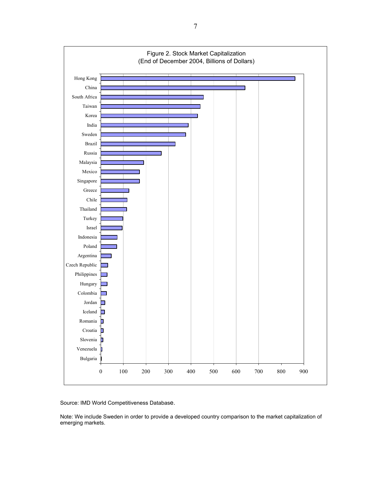

Source: IMD World Competitiveness Database.

Note: We include Sweden in order to provide a developed country comparison to the market capitalization of emerging markets.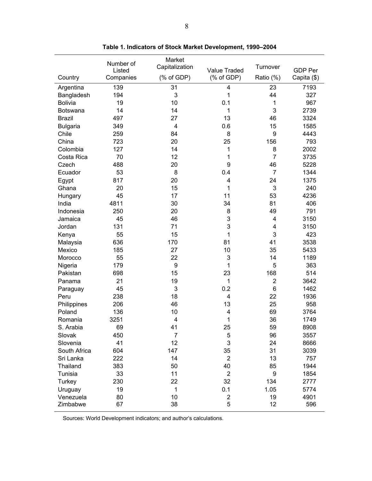|                 | Number of           | Market<br>Capitalization |                                                  | Turnover       |                               |
|-----------------|---------------------|--------------------------|--------------------------------------------------|----------------|-------------------------------|
| Country         | Listed<br>Companies | $(% )^{2}(x)$ of GDP)    | Value Traded<br>$(% \mathcal{L}_{0})$ (% of GDP) | Ratio (%)      | <b>GDP Per</b><br>Capita (\$) |
| Argentina       | 139                 | 31                       | 4                                                | 23             | 7193                          |
| Bangladesh      | 194                 | 3                        | 1                                                | 44             | 327                           |
| <b>Bolivia</b>  | 19                  | 10                       | 0.1                                              | 1              | 967                           |
| <b>Botswana</b> | 14                  | 14                       | 1                                                | 3              | 2739                          |
| <b>Brazil</b>   | 497                 | 27                       | 13                                               | 46             | 3324                          |
| <b>Bulgaria</b> | 349                 | 4                        | 0.6                                              | 15             | 1585                          |
| Chile           | 259                 | 84                       | 8                                                | 9              | 4443                          |
| China           | 723                 | 20                       | 25                                               | 156            | 793                           |
| Colombia        | 127                 | 14                       | 1                                                | 8              | 2002                          |
| Costa Rica      | 70                  | 12                       | 1                                                | $\overline{7}$ | 3735                          |
| Czech           | 488                 | 20                       | 9                                                | 46             | 5228                          |
| Ecuador         | 53                  | 8                        | 0.4                                              | $\overline{7}$ | 1344                          |
| Egypt           | 817                 | 20                       | 4                                                | 24             | 1375                          |
| Ghana           | 20                  | 15                       | 1                                                | 3              | 240                           |
| Hungary         | 45                  | 17                       | 11                                               | 53             | 4236                          |
| India           | 4811                | 30                       | 34                                               | 81             | 406                           |
| Indonesia       | 250                 | 20                       | 8                                                | 49             | 791                           |
| Jamaica         | 45                  | 46                       | 3                                                | 4              | 3150                          |
| Jordan          | 131                 | 71                       | 3                                                | 4              | 3150                          |
| Kenya           | 55                  | 15                       | $\mathbf 1$                                      | 3              | 423                           |
| Malaysia        | 636                 | 170                      | 81                                               | 41             | 3538                          |
| Mexico          | 185                 | 27                       | 10                                               | 35             | 5433                          |
| Morocco         | 55                  | 22                       | 3                                                | 14             | 1189                          |
| Nigeria         | 179                 | 9                        | 1                                                | 5              | 363                           |
| Pakistan        | 698                 | 15                       | 23                                               | 168            | 514                           |
| Panama          | 21                  | 19                       | 1                                                | $\overline{2}$ | 3642                          |
| Paraguay        | 45                  | 3                        | 0.2                                              | 6              | 1462                          |
| Peru            | 238                 | 18                       | 4                                                | 22             | 1936                          |
| Philippines     | 206                 | 46                       | 13                                               | 25             | 958                           |
| Poland          | 136                 | 10                       | 4                                                | 69             | 3764                          |
| Romania         | 3251                | 4                        | 1                                                | 36             | 1749                          |
| S. Arabia       | 69                  | 41                       | 25                                               | 59             | 8908                          |
| Slovak          | 450                 | $\overline{7}$           | 5                                                | 96             | 3557                          |
| Slovenia        | 41                  | 12                       | 3                                                | 24             | 8666                          |
| South Africa    | 604                 | 147                      | 35                                               | 31             | 3039                          |
| Sri Lanka       | 222                 | 14                       | $\overline{2}$                                   | 13             | 757                           |
| Thailand        | 383                 | 50                       | 40                                               | 85             | 1944                          |
| Tunisia         | 33                  | 11                       | $\overline{2}$                                   | 9              | 1854                          |
| Turkey          | 230                 | 22                       | 32                                               | 134            | 2777                          |
| Uruguay         | 19                  | 1                        | 0.1                                              | 1.05           | 5774                          |
| Venezuela       | 80                  | 10                       | 2                                                | 19             | 4901                          |
| Zimbabwe        | 67                  | 38                       | 5                                                | 12             | 596                           |

**Table 1. Indicators of Stock Market Development, 1990–2004**

Sources: World Development indicators; and author's calculations.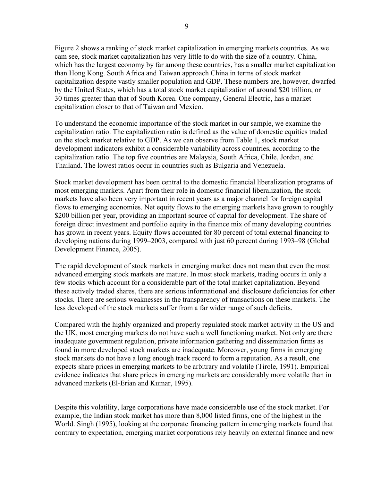Figure 2 shows a ranking of stock market capitalization in emerging markets countries. As we cam see, stock market capitalization has very little to do with the size of a country. China, which has the largest economy by far among these countries, has a smaller market capitalization than Hong Kong. South Africa and Taiwan approach China in terms of stock market capitalization despite vastly smaller population and GDP. These numbers are, however, dwarfed by the United States, which has a total stock market capitalization of around \$20 trillion, or 30 times greater than that of South Korea. One company, General Electric, has a market capitalization closer to that of Taiwan and Mexico.

To understand the economic importance of the stock market in our sample, we examine the capitalization ratio. The capitalization ratio is defined as the value of domestic equities traded on the stock market relative to GDP. As we can observe from Table 1, stock market development indicators exhibit a considerable variability across countries, according to the capitalization ratio. The top five countries are Malaysia, South Africa, Chile, Jordan, and Thailand. The lowest ratios occur in countries such as Bulgaria and Venezuela.

Stock market development has been central to the domestic financial liberalization programs of most emerging markets. Apart from their role in domestic financial liberalization, the stock markets have also been very important in recent years as a major channel for foreign capital flows to emerging economies. Net equity flows to the emerging markets have grown to roughly \$200 billion per year, providing an important source of capital for development. The share of foreign direct investment and portfolio equity in the finance mix of many developing countries has grown in recent years. Equity flows accounted for 80 percent of total external financing to developing nations during 1999–2003, compared with just 60 percent during 1993–98 (Global Development Finance, 2005).

The rapid development of stock markets in emerging market does not mean that even the most advanced emerging stock markets are mature. In most stock markets, trading occurs in only a few stocks which account for a considerable part of the total market capitalization. Beyond these actively traded shares, there are serious informational and disclosure deficiencies for other stocks. There are serious weaknesses in the transparency of transactions on these markets. The less developed of the stock markets suffer from a far wider range of such deficits.

Compared with the highly organized and properly regulated stock market activity in the US and the UK, most emerging markets do not have such a well functioning market. Not only are there inadequate government regulation, private information gathering and dissemination firms as found in more developed stock markets are inadequate. Moreover, young firms in emerging stock markets do not have a long enough track record to form a reputation. As a result, one expects share prices in emerging markets to be arbitrary and volatile (Tirole, 1991). Empirical evidence indicates that share prices in emerging markets are considerably more volatile than in advanced markets (El-Erian and Kumar, 1995).

Despite this volatility, large corporations have made considerable use of the stock market. For example, the Indian stock market has more than 8,000 listed firms, one of the highest in the World. Singh (1995), looking at the corporate financing pattern in emerging markets found that contrary to expectation, emerging market corporations rely heavily on external finance and new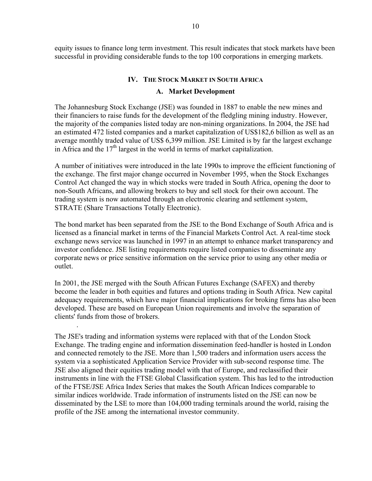equity issues to finance long term investment. This result indicates that stock markets have been successful in providing considerable funds to the top 100 corporations in emerging markets.

## **IV. THE STOCK MARKET IN SOUTH AFRICA**

#### **A. Market Development**

The Johannesburg Stock Exchange (JSE) was founded in 1887 to enable the new mines and their financiers to raise funds for the development of the fledgling mining industry. However, the majority of the companies listed today are non-mining organizations. In 2004, the JSE had an estimated 472 listed companies and a market capitalization of US\$182,6 billion as well as an average monthly traded value of US\$ 6,399 million. JSE Limited is by far the largest exchange in Africa and the  $17<sup>th</sup>$  largest in the world in terms of market capitalization.

A number of initiatives were introduced in the late 1990s to improve the efficient functioning of the exchange. The first major change occurred in November 1995, when the Stock Exchanges Control Act changed the way in which stocks were traded in South Africa, opening the door to non-South Africans, and allowing brokers to buy and sell stock for their own account. The trading system is now automated through an electronic clearing and settlement system, STRATE (Share Transactions Totally Electronic).

The bond market has been separated from the JSE to the Bond Exchange of South Africa and is licensed as a financial market in terms of the Financial Markets Control Act. A real-time stock exchange news service was launched in 1997 in an attempt to enhance market transparency and investor confidence. JSE listing requirements require listed companies to disseminate any corporate news or price sensitive information on the service prior to using any other media or outlet.

In 2001, the JSE merged with the South African Futures Exchange (SAFEX) and thereby become the leader in both equities and futures and options trading in South Africa. New capital adequacy requirements, which have major financial implications for broking firms has also been developed. These are based on European Union requirements and involve the separation of clients' funds from those of brokers.

.

The JSE's trading and information systems were replaced with that of the London Stock Exchange. The trading engine and information dissemination feed-handler is hosted in London and connected remotely to the JSE. More than 1,500 traders and information users access the system via a sophisticated Application Service Provider with sub-second response time. The JSE also aligned their equities trading model with that of Europe, and reclassified their instruments in line with the FTSE Global Classification system. This has led to the introduction of the FTSE/JSE Africa Index Series that makes the South African Indices comparable to similar indices worldwide. Trade information of instruments listed on the JSE can now be disseminated by the LSE to more than 104,000 trading terminals around the world, raising the profile of the JSE among the international investor community.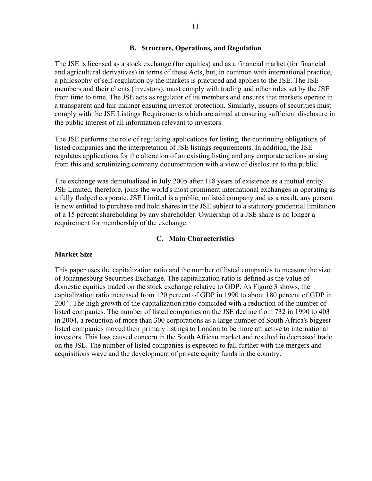## **B. Structure, Operations, and Regulation**

The JSE is licensed as a stock exchange (for equities) and as a financial market (for financial and agricultural derivatives) in terms of these Acts, but, in common with international practice, a philosophy of self-regulation by the markets is practiced and applies to the JSE. The JSE members and their clients (investors), must comply with trading and other rules set by the JSE from time to time. The JSE acts as regulator of its members and ensures that markets operate in a transparent and fair manner ensuring investor protection. Similarly, issuers of securities must comply with the JSE Listings Requirements which are aimed at ensuring sufficient disclosure in the public interest of all information relevant to investors.

The JSE performs the role of regulating applications for listing, the continuing obligations of listed companies and the interpretation of JSE listings requirements. In addition, the JSE regulates applications for the alteration of an existing listing and any corporate actions arising from this and scrutinizing company documentation with a view of disclosure to the public.

The exchange was demutualized in July 2005 after 118 years of existence as a mutual entity. JSE Limited, therefore, joins the world's most prominent international exchanges in operating as a fully fledged corporate. JSE Limited is a public, unlisted company and as a result, any person is now entitled to purchase and hold shares in the JSE subject to a statutory prudential limitation of a 15 percent shareholding by any shareholder. Ownership of a JSE share is no longer a requirement for membership of the exchange.

## **C. Main Characteristics**

#### **Market Size**

This paper uses the capitalization ratio and the number of listed companies to measure the size of Johannesburg Securities Exchange. The capitalization ratio is defined as the value of domestic equities traded on the stock exchange relative to GDP. As Figure 3 shows, the capitalization ratio increased from 120 percent of GDP in 1990 to about 180 percent of GDP in 2004. The high growth of the capitalization ratio coincided with a reduction of the number of listed companies. The number of listed companies on the JSE decline from 732 in 1990 to 403 in 2004, a reduction of more than 300 corporations as a large number of South Africa's biggest listed companies moved their primary listings to London to be more attractive to international investors. This loss caused concern in the South African market and resulted in decreased trade on the JSE. The number of listed companies is expected to fall further with the mergers and acquisitions wave and the development of private equity funds in the country.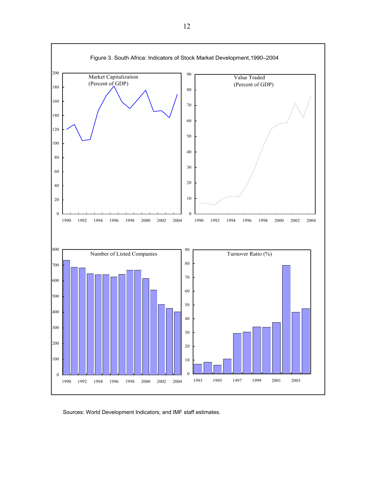

Sources: World Development Indicators; and IMF staff estimates.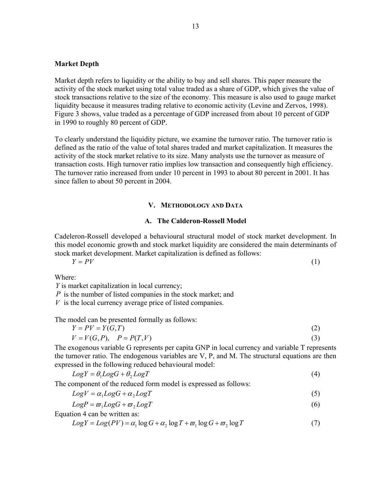#### **Market Depth**

Market depth refers to liquidity or the ability to buy and sell shares. This paper measure the activity of the stock market using total value traded as a share of GDP, which gives the value of stock transactions relative to the size of the economy. This measure is also used to gauge market liquidity because it measures trading relative to economic activity (Levine and Zervos, 1998). Figure 3 shows, value traded as a percentage of GDP increased from about 10 percent of GDP in 1990 to roughly 80 percent of GDP.

To clearly understand the liquidity picture, we examine the turnover ratio. The turnover ratio is defined as the ratio of the value of total shares traded and market capitalization. It measures the activity of the stock market relative to its size. Many analysts use the turnover as measure of transaction costs. High turnover ratio implies low transaction and consequently high efficiency. The turnover ratio increased from under 10 percent in 1993 to about 80 percent in 2001. It has since fallen to about 50 percent in 2004.

## **V. METHODOLOGY AND DATA**

#### **A. The Calderon-Rossell Model**

Cadeleron-Rossell developed a behavioural structural model of stock market development. In this model economic growth and stock market liquidity are considered the main determinants of stock market development. Market capitalization is defined as follows:

$$
Y = PV \tag{1}
$$

Where:

*Y* is market capitalization in local currency;

*P* is the number of listed companies in the stock market; and

*V* is the local currency average price of listed companies.

The model can be presented formally as follows:

$$
Y = PV = Y(G, T)
$$
  
\n
$$
V = V(G, P), \quad P = P(T, V)
$$
\n(2)

The exogenous variable G represents per capita GNP in local currency and variable T represents the turnover ratio. The endogenous variables are V, P, and M. The structural equations are then expressed in the following reduced behavioural model:

$$
Log Y = \theta_1 Log G + \theta_2 Log T \tag{4}
$$

The component of the reduced form model is expressed as follows:

$$
Log V = \alpha_1 Log G + \alpha_2 Log T \tag{5}
$$

 $LogP = \varpi_1 LogG + \varpi_2 LogT$  (6)

Equation 4 can be written as:

$$
LogY = Log(PV) = \alpha_1 \log G + \alpha_2 \log T + \varpi_1 \log G + \varpi_2 \log T \tag{7}
$$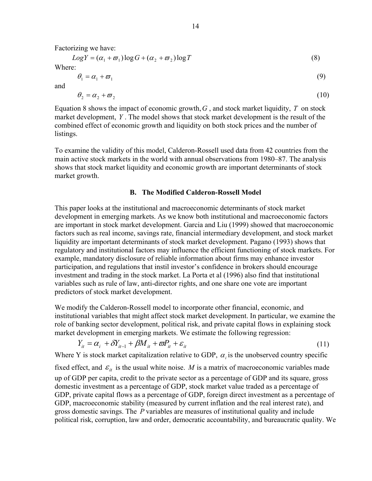Factorizing we have:

$$
Log Y = (\alpha_1 + \varpi_1) \log G + (\alpha_2 + \varpi_2) \log T \tag{8}
$$

Where:

$$
\theta_1 = \alpha_1 + \varpi_1 \tag{9}
$$

and

$$
\theta_2 = \alpha_2 + \varpi_2 \tag{10}
$$

Equation 8 shows the impact of economic growth,*G* , and stock market liquidity, *T* on stock market development, *Y* . The model shows that stock market development is the result of the combined effect of economic growth and liquidity on both stock prices and the number of listings.

To examine the validity of this model, Calderon-Rossell used data from 42 countries from the main active stock markets in the world with annual observations from 1980–87. The analysis shows that stock market liquidity and economic growth are important determinants of stock market growth.

#### **B. The Modified Calderon-Rossell Model**

This paper looks at the institutional and macroeconomic determinants of stock market development in emerging markets. As we know both institutional and macroeconomic factors are important in stock market development. Garcia and Liu (1999) showed that macroeconomic factors such as real income, savings rate, financial intermediary development, and stock market liquidity are important determinants of stock market development. Pagano (1993) shows that regulatory and institutional factors may influence the efficient functioning of stock markets. For example, mandatory disclosure of reliable information about firms may enhance investor participation, and regulations that instil investor's confidence in brokers should encourage investment and trading in the stock market. La Porta et al (1996) also find that institutional variables such as rule of law, anti-director rights, and one share one vote are important predictors of stock market development.

We modify the Calderon-Rossell model to incorporate other financial, economic, and institutional variables that might affect stock market development. In particular, we examine the role of banking sector development, political risk, and private capital flows in explaining stock market development in emerging markets. We estimate the following regression:

$$
Y_{it} = \alpha_i + \delta Y_{it-1} + \beta M_{it} + \varpi P_{it} + \varepsilon_{it}
$$
\n(11)

Where Y is stock market capitalization relative to GDP,  $\alpha_i$  is the unobserved country specific

fixed effect, and  $\mathcal{E}_{it}$  is the usual white noise. *M* is a matrix of macroeconomic variables made up of GDP per capita, credit to the private sector as a percentage of GDP and its square, gross domestic investment as a percentage of GDP, stock market value traded as a percentage of GDP, private capital flows as a percentage of GDP, foreign direct investment as a percentage of GDP, macroeconomic stability (measured by current inflation and the real interest rate), and gross domestic savings. The *P* variables are measures of institutional quality and include political risk, corruption, law and order, democratic accountability, and bureaucratic quality. We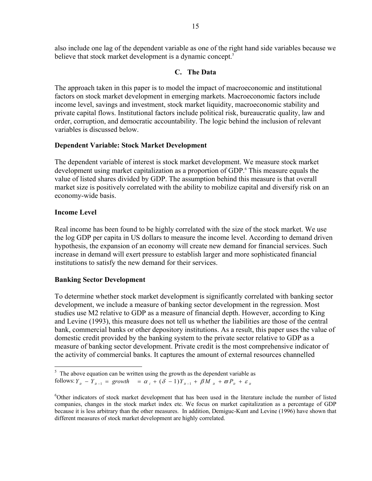also include one lag of the dependent variable as one of the right hand side variables because we believe that stock market development is a dynamic concept.<sup>5</sup>

# **C. The Data**

The approach taken in this paper is to model the impact of macroeconomic and institutional factors on stock market development in emerging markets. Macroeconomic factors include income level, savings and investment, stock market liquidity, macroeconomic stability and private capital flows. Institutional factors include political risk, bureaucratic quality, law and order, corruption, and democratic accountability. The logic behind the inclusion of relevant variables is discussed below.

## **Dependent Variable: Stock Market Development**

The dependent variable of interest is stock market development. We measure stock market development using market capitalization as a proportion of GDP.<sup>6</sup> This measure equals the value of listed shares divided by GDP. The assumption behind this measure is that overall market size is positively correlated with the ability to mobilize capital and diversify risk on an economy-wide basis.

## **Income Level**

Real income has been found to be highly correlated with the size of the stock market. We use the log GDP per capita in US dollars to measure the income level. According to demand driven hypothesis, the expansion of an economy will create new demand for financial services. Such increase in demand will exert pressure to establish larger and more sophisticated financial institutions to satisfy the new demand for their services.

## **Banking Sector Development**

To determine whether stock market development is significantly correlated with banking sector development, we include a measure of banking sector development in the regression. Most studies use M2 relative to GDP as a measure of financial depth. However, according to King and Levine (1993), this measure does not tell us whether the liabilities are those of the central bank, commercial banks or other depository institutions. As a result, this paper uses the value of domestic credit provided by the banking system to the private sector relative to GDP as a measure of banking sector development. Private credit is the most comprehensive indicator of the activity of commercial banks. It captures the amount of external resources channelled

 $\frac{5}{\sqrt{15}}$  The above equation can be written using the growth as the dependent variable as follows:  $Y_{ii} - Y_{ii-1} = growth = \alpha_i + (\delta - 1)Y_{ii-1} + \beta M_{ii} + \varpi P_{ii} + \varepsilon_{ii}$ 

<sup>6</sup> Other indicators of stock market development that has been used in the literature include the number of listed companies, changes in the stock market index etc. We focus on market capitalization as a percentage of GDP because it is less arbitrary than the other measures. In addition, Demiguc-Kunt and Levine (1996) have shown that different measures of stock market development are highly correlated.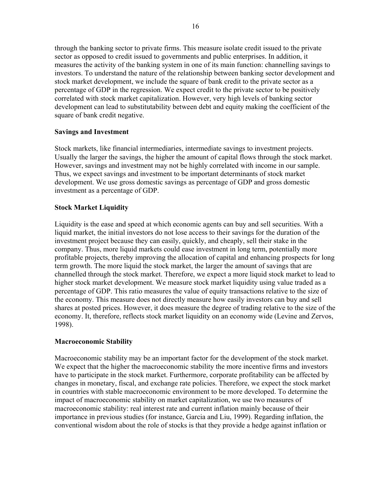through the banking sector to private firms. This measure isolate credit issued to the private sector as opposed to credit issued to governments and public enterprises. In addition, it measures the activity of the banking system in one of its main function: channelling savings to investors. To understand the nature of the relationship between banking sector development and stock market development, we include the square of bank credit to the private sector as a percentage of GDP in the regression. We expect credit to the private sector to be positively correlated with stock market capitalization. However, very high levels of banking sector development can lead to substitutability between debt and equity making the coefficient of the square of bank credit negative.

## **Savings and Investment**

Stock markets, like financial intermediaries, intermediate savings to investment projects. Usually the larger the savings, the higher the amount of capital flows through the stock market. However, savings and investment may not be highly correlated with income in our sample. Thus, we expect savings and investment to be important determinants of stock market development. We use gross domestic savings as percentage of GDP and gross domestic investment as a percentage of GDP.

# **Stock Market Liquidity**

Liquidity is the ease and speed at which economic agents can buy and sell securities. With a liquid market, the initial investors do not lose access to their savings for the duration of the investment project because they can easily, quickly, and cheaply, sell their stake in the company. Thus, more liquid markets could ease investment in long term, potentially more profitable projects, thereby improving the allocation of capital and enhancing prospects for long term growth. The more liquid the stock market, the larger the amount of savings that are channelled through the stock market. Therefore, we expect a more liquid stock market to lead to higher stock market development. We measure stock market liquidity using value traded as a percentage of GDP. This ratio measures the value of equity transactions relative to the size of the economy. This measure does not directly measure how easily investors can buy and sell shares at posted prices. However, it does measure the degree of trading relative to the size of the economy. It, therefore, reflects stock market liquidity on an economy wide (Levine and Zervos, 1998).

## **Macroeconomic Stability**

Macroeconomic stability may be an important factor for the development of the stock market. We expect that the higher the macroeconomic stability the more incentive firms and investors have to participate in the stock market. Furthermore, corporate profitability can be affected by changes in monetary, fiscal, and exchange rate policies. Therefore, we expect the stock market in countries with stable macroeconomic environment to be more developed. To determine the impact of macroeconomic stability on market capitalization, we use two measures of macroeconomic stability: real interest rate and current inflation mainly because of their importance in previous studies (for instance, Garcia and Liu, 1999). Regarding inflation, the conventional wisdom about the role of stocks is that they provide a hedge against inflation or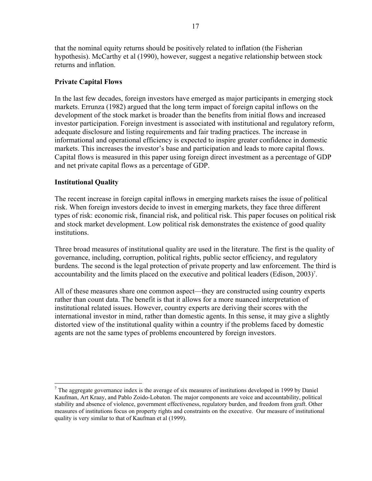that the nominal equity returns should be positively related to inflation (the Fisherian hypothesis). McCarthy et al (1990), however, suggest a negative relationship between stock returns and inflation.

# **Private Capital Flows**

In the last few decades, foreign investors have emerged as major participants in emerging stock markets. Errunza (1982) argued that the long term impact of foreign capital inflows on the development of the stock market is broader than the benefits from initial flows and increased investor participation. Foreign investment is associated with institutional and regulatory reform, adequate disclosure and listing requirements and fair trading practices. The increase in informational and operational efficiency is expected to inspire greater confidence in domestic markets. This increases the investor's base and participation and leads to more capital flows. Capital flows is measured in this paper using foreign direct investment as a percentage of GDP and net private capital flows as a percentage of GDP.

# **Institutional Quality**

 $\overline{a}$ 

The recent increase in foreign capital inflows in emerging markets raises the issue of political risk. When foreign investors decide to invest in emerging markets, they face three different types of risk: economic risk, financial risk, and political risk. This paper focuses on political risk and stock market development. Low political risk demonstrates the existence of good quality institutions.

Three broad measures of institutional quality are used in the literature. The first is the quality of governance, including, corruption, political rights, public sector efficiency, and regulatory burdens. The second is the legal protection of private property and law enforcement. The third is accountability and the limits placed on the executive and political leaders (Edison, 2003)<sup>7</sup>.

All of these measures share one common aspect—they are constructed using country experts rather than count data. The benefit is that it allows for a more nuanced interpretation of institutional related issues. However, country experts are deriving their scores with the international investor in mind, rather than domestic agents. In this sense, it may give a slightly distorted view of the institutional quality within a country if the problems faced by domestic agents are not the same types of problems encountered by foreign investors.

 $<sup>7</sup>$  The aggregate governance index is the average of six measures of institutions developed in 1999 by Daniel</sup> Kaufman, Art Kraay, and Pablo Zoido-Lobaton. The major components are voice and accountability, political stability and absence of violence, government effectiveness, regulatory burden, and freedom from graft. Other measures of institutions focus on property rights and constraints on the executive. Our measure of institutional quality is very similar to that of Kaufman et al (1999).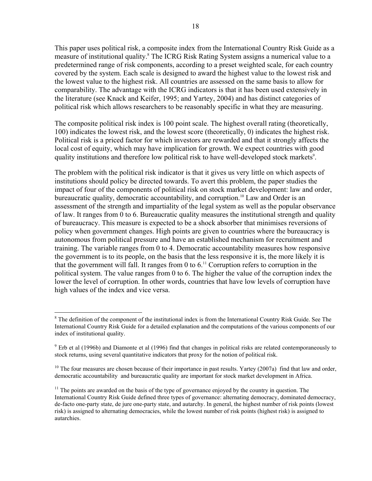This paper uses political risk, a composite index from the International Country Risk Guide as a measure of institutional quality.<sup>8</sup> The ICRG Risk Rating System assigns a numerical value to a predetermined range of risk components, according to a preset weighted scale, for each country covered by the system. Each scale is designed to award the highest value to the lowest risk and the lowest value to the highest risk. All countries are assessed on the same basis to allow for comparability. The advantage with the ICRG indicators is that it has been used extensively in the literature (see Knack and Keifer, 1995; and Yartey, 2004) and has distinct categories of political risk which allows researchers to be reasonably specific in what they are measuring.

The composite political risk index is 100 point scale. The highest overall rating (theoretically, 100) indicates the lowest risk, and the lowest score (theoretically, 0) indicates the highest risk. Political risk is a priced factor for which investors are rewarded and that it strongly affects the local cost of equity, which may have implication for growth. We expect countries with good quality institutions and therefore low political risk to have well-developed stock markets<sup>9</sup>.

The problem with the political risk indicator is that it gives us very little on which aspects of institutions should policy be directed towards. To avert this problem, the paper studies the impact of four of the components of political risk on stock market development: law and order, bureaucratic quality, democratic accountability, and corruption.<sup>10</sup> Law and Order is an assessment of the strength and impartiality of the legal system as well as the popular observance of law. It ranges from 0 to 6. Bureaucratic quality measures the institutional strength and quality of bureaucracy. This measure is expected to be a shock absorber that minimises reversions of policy when government changes. High points are given to countries where the bureaucracy is autonomous from political pressure and have an established mechanism for recruitment and training. The variable ranges from 0 to 4. Democratic accountability measures how responsive the government is to its people, on the basis that the less responsive it is, the more likely it is that the government will fall. It ranges from 0 to  $6<sup>11</sup>$  Corruption refers to corruption in the political system. The value ranges from 0 to 6. The higher the value of the corruption index the lower the level of corruption. In other words, countries that have low levels of corruption have high values of the index and vice versa.

 $\overline{a}$  $8$  The definition of the component of the institutional index is from the International Country Risk Guide. See The International Country Risk Guide for a detailed explanation and the computations of the various components of our index of institutional quality.

 $9$  Erb et al (1996b) and Diamonte et al (1996) find that changes in political risks are related contemporaneously to stock returns, using several quantitative indicators that proxy for the notion of political risk.

<sup>&</sup>lt;sup>10</sup> The four measures are chosen because of their importance in past results. Yartey (2007a) find that law and order, democratic accountability and bureaucratic quality are important for stock market development in Africa.

 $11$  The points are awarded on the basis of the type of governance enjoyed by the country in question. The International Country Risk Guide defined three types of governance: alternating democracy, dominated democracy, de-facto one-party state, de jure one-party state, and autarchy. In general, the highest number of risk points (lowest risk) is assigned to alternating democracies, while the lowest number of risk points (highest risk) is assigned to autarchies.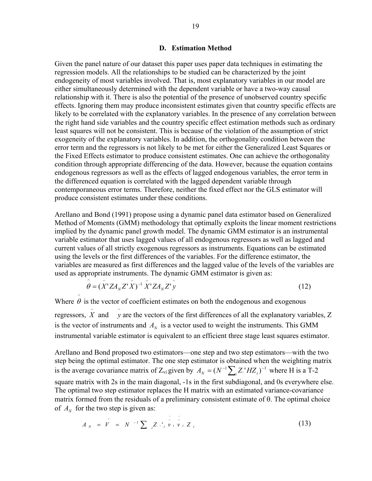#### **D. Estimation Method**

Given the panel nature of our dataset this paper uses paper data techniques in estimating the regression models. All the relationships to be studied can be characterized by the joint endogeneity of most variables involved. That is, most explanatory variables in our model are either simultaneously determined with the dependent variable or have a two-way causal relationship with it. There is also the potential of the presence of unobserved country specific effects. Ignoring them may produce inconsistent estimates given that country specific effects are likely to be correlated with the explanatory variables. In the presence of any correlation between the right hand side variables and the country specific effect estimation methods such as ordinary least squares will not be consistent. This is because of the violation of the assumption of strict exogeneity of the explanatory variables. In addition, the orthogonality condition between the error term and the regressors is not likely to be met for either the Generalized Least Squares or the Fixed Effects estimator to produce consistent estimates. One can achieve the orthogonality condition through appropriate differencing of the data. However, because the equation contains endogenous regressors as well as the effects of lagged endogenous variables, the error term in the differenced equation is correlated with the lagged dependent variable through contemporaneous error terms. Therefore, neither the fixed effect nor the GLS estimator will produce consistent estimates under these conditions.

Arellano and Bond (1991) propose using a dynamic panel data estimator based on Generalized Method of Moments (GMM) methodology that optimally exploits the linear moment restrictions implied by the dynamic panel growth model. The dynamic GMM estimator is an instrumental variable estimator that uses lagged values of all endogenous regressors as well as lagged and current values of all strictly exogenous regressors as instruments. Equations can be estimated using the levels or the first differences of the variables. For the difference estimator, the variables are measured as first differences and the lagged value of the levels of the variables are used as appropriate instruments. The dynamic GMM estimator is given as:

$$
\hat{\theta} = (\bar{X}' Z A_N Z' \bar{X})^{-1} \bar{X}' Z A_N Z' \bar{y}
$$
\n(12)

Where  $\hat{\theta}$  is the vector of coefficient estimates on both the endogenous and exogenous

*regressors,*  $\overline{X}$  and  $\overline{Y}$  are the vectors of the first differences of all the explanatory variables, Z is the vector of instruments and  $A<sub>N</sub>$  is a vector used to weight the instruments. This GMM instrumental variable estimator is equivalent to an efficient three stage least squares estimator.

Arellano and Bond proposed two estimators—one step and two step estimators—with the two step being the optimal estimator. The one step estimator is obtained when the weighting matrix is the average covariance matrix of  $Z_{vi}$  given by  $A_N = (N^{-1} \sum_i Z_i^T H Z_i)^{-1}$  where H is a T-2 square matrix with 2s in the main diagonal, -1s in the first subdiagonal, and 0s everywhere else. The optimal two step estimator replaces the H matrix with an estimated variance-covariance matrix formed from the residuals of a preliminary consistent estimate of θ. The optimal choice of  $A_N$  for the two step is given as:

$$
A_{N} = \hat{V} = N^{-1} \sum_{i} Z_{i} \hat{V}_{i} \hat{v}_{i} \hat{V}_{i} Z_{i}
$$
 (13)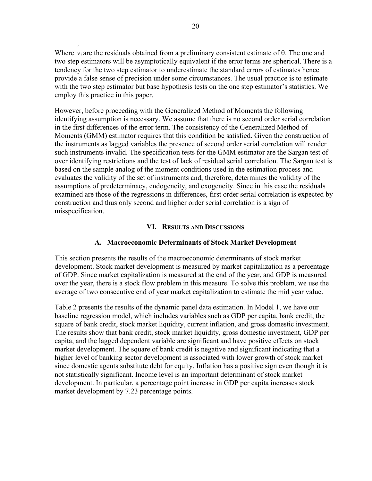Where  $v_i$  are the residuals obtained from a preliminary consistent estimate of  $\theta$ . The one and ^ two step estimators will be asymptotically equivalent if the error terms are spherical. There is a tendency for the two step estimator to underestimate the standard errors of estimates hence provide a false sense of precision under some circumstances. The usual practice is to estimate with the two step estimator but base hypothesis tests on the one step estimator's statistics. We employ this practice in this paper.

However, before proceeding with the Generalized Method of Moments the following identifying assumption is necessary. We assume that there is no second order serial correlation in the first differences of the error term. The consistency of the Generalized Method of Moments (GMM) estimator requires that this condition be satisfied. Given the construction of the instruments as lagged variables the presence of second order serial correlation will render such instruments invalid. The specification tests for the GMM estimator are the Sargan test of over identifying restrictions and the test of lack of residual serial correlation. The Sargan test is based on the sample analog of the moment conditions used in the estimation process and evaluates the validity of the set of instruments and, therefore, determines the validity of the assumptions of predeterminacy, endogeneity, and exogeneity. Since in this case the residuals examined are those of the regressions in differences, first order serial correlation is expected by construction and thus only second and higher order serial correlation is a sign of misspecification.

## **VI. RESULTS AND DISCUSSIONS**

## **A. Macroeconomic Determinants of Stock Market Development**

This section presents the results of the macroeconomic determinants of stock market development. Stock market development is measured by market capitalization as a percentage of GDP. Since market capitalization is measured at the end of the year, and GDP is measured over the year, there is a stock flow problem in this measure. To solve this problem, we use the average of two consecutive end of year market capitalization to estimate the mid year value.

Table 2 presents the results of the dynamic panel data estimation. In Model 1, we have our baseline regression model, which includes variables such as GDP per capita, bank credit, the square of bank credit, stock market liquidity, current inflation, and gross domestic investment. The results show that bank credit, stock market liquidity, gross domestic investment, GDP per capita, and the lagged dependent variable are significant and have positive effects on stock market development. The square of bank credit is negative and significant indicating that a higher level of banking sector development is associated with lower growth of stock market since domestic agents substitute debt for equity. Inflation has a positive sign even though it is not statistically significant. Income level is an important determinant of stock market development. In particular, a percentage point increase in GDP per capita increases stock market development by 7.23 percentage points.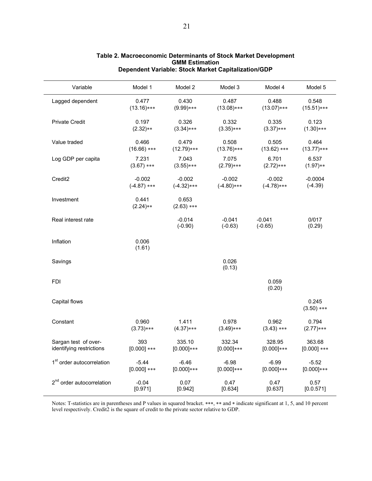| Variable                              | Model 1              | Model 2               | Model 3               | Model 4               | Model 5               |
|---------------------------------------|----------------------|-----------------------|-----------------------|-----------------------|-----------------------|
| Lagged dependent                      | 0.477                | 0.430                 | 0.487                 | 0.488                 | 0.548                 |
|                                       | $(13.16)$ ***        | $(9.99)$ ***          | $(13.08)$ ***         | $(13.07)$ ***         | $(15.51)$ ***         |
| <b>Private Credit</b>                 | 0.197                | 0.326                 | 0.332                 | 0.335                 | 0.123                 |
|                                       | $(2.32)**$           | $(3.34)$ ***          | $(3.35)$ ***          | $(3.37)$ ***          | $(1.30)$ ***          |
| Value traded                          | 0.466                | 0.479                 | 0.508                 | 0.505                 | 0.464                 |
|                                       | $(16.66)$ ***        | $(12.79)***$          | $(13.76)$ ***         | $(13.62)$ ***         | $(13.77)***$          |
| Log GDP per capita                    | 7.231                | 7.043                 | 7.075                 | 6.701                 | 6.537                 |
|                                       | $(3.67)$ ***         | $(3.55)$ ***          | $(2.79)$ ***          | $(2.72)$ ***          | $(1.97)**$            |
| Credit2                               | $-0.002$             | $-0.002$              | $-0.002$              | $-0.002$              | $-0.0004$             |
|                                       | $(-4.87)$ ***        | $(-4.32)$ ***         | $(-4.80)$ ***         | $(-4.78)$ ***         | $(-4.39)$             |
| Investment                            | 0.441<br>$(2.24)$ ** | 0.653<br>$(2.63)$ *** |                       |                       |                       |
| Real interest rate                    |                      | $-0.014$<br>$(-0.90)$ | $-0.041$<br>$(-0.63)$ | $-0.041$<br>$(-0.65)$ | 0/017<br>(0.29)       |
| Inflation                             | 0.006<br>(1.61)      |                       |                       |                       |                       |
| Savings                               |                      |                       | 0.026<br>(0.13)       |                       |                       |
| <b>FDI</b>                            |                      |                       |                       | 0.059<br>(0.20)       |                       |
| Capital flows                         |                      |                       |                       |                       | 0.245<br>$(3.50)$ *** |
| Constant                              | 0.960                | 1.411                 | 0.978                 | 0.962                 | 0.794                 |
|                                       | $(3.73)$ ***         | $(4.37)$ ***          | $(3.49)$ ***          | $(3.43)$ ***          | $(2.77)****$          |
| Sargan test of over-                  | 393                  | 335.10                | 332.34                | 328.95                | 363.68                |
| identifying restrictions              | $[0.000]$ ***        | $[0.000]***$          | $[0.000]***$          | $[0.000]***$          | $[0.000]$ ***         |
| 1 <sup>st</sup> order autocorrelation | $-5.44$              | $-6.46$               | $-6.98$               | $-6.99$               | $-5.52$               |
|                                       | $[0.000]$ ***        | $[0.000]***$          | $[0.000]***$          | $[0.000]***$          | $[0.000]***$          |
| 2 <sup>nd</sup> order autocorrelation | $-0.04$              | 0.07                  | 0.47                  | 0.47                  | 0.57                  |
|                                       | [0.971]              | [0.942]               | [0.634]               | [0.637]               | [0.0.571]             |

#### **Table 2. Macroeconomic Determinants of Stock Market Development GMM Estimation Dependent Variable: Stock Market Capitalization/GDP**

Notes: T-statistics are in parentheses and P values in squared bracket. ∗∗∗, ∗∗ and ∗ indicate significant at 1, 5, and 10 percent level respectively. Credit2 is the square of credit to the private sector relative to GDP.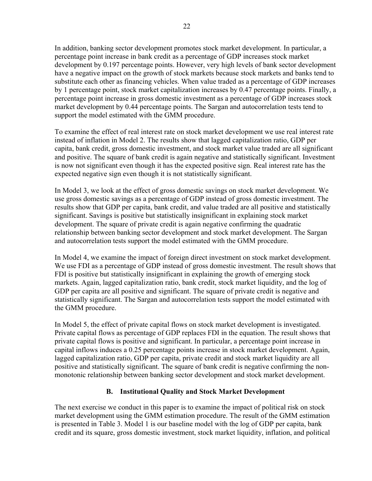In addition, banking sector development promotes stock market development. In particular, a percentage point increase in bank credit as a percentage of GDP increases stock market development by 0.197 percentage points. However, very high levels of bank sector development have a negative impact on the growth of stock markets because stock markets and banks tend to substitute each other as financing vehicles. When value traded as a percentage of GDP increases by 1 percentage point, stock market capitalization increases by 0.47 percentage points. Finally, a percentage point increase in gross domestic investment as a percentage of GDP increases stock market development by 0.44 percentage points. The Sargan and autocorrelation tests tend to support the model estimated with the GMM procedure.

To examine the effect of real interest rate on stock market development we use real interest rate instead of inflation in Model 2. The results show that lagged capitalization ratio, GDP per capita, bank credit, gross domestic investment, and stock market value traded are all significant and positive. The square of bank credit is again negative and statistically significant. Investment is now not significant even though it has the expected positive sign. Real interest rate has the expected negative sign even though it is not statistically significant.

In Model 3, we look at the effect of gross domestic savings on stock market development. We use gross domestic savings as a percentage of GDP instead of gross domestic investment. The results show that GDP per capita, bank credit, and value traded are all positive and statistically significant. Savings is positive but statistically insignificant in explaining stock market development. The square of private credit is again negative confirming the quadratic relationship between banking sector development and stock market development. The Sargan and autocorrelation tests support the model estimated with the GMM procedure.

In Model 4, we examine the impact of foreign direct investment on stock market development. We use FDI as a percentage of GDP instead of gross domestic investment. The result shows that FDI is positive but statistically insignificant in explaining the growth of emerging stock markets. Again, lagged capitalization ratio, bank credit, stock market liquidity, and the log of GDP per capita are all positive and significant. The square of private credit is negative and statistically significant. The Sargan and autocorrelation tests support the model estimated with the GMM procedure.

In Model 5, the effect of private capital flows on stock market development is investigated. Private capital flows as percentage of GDP replaces FDI in the equation. The result shows that private capital flows is positive and significant. In particular, a percentage point increase in capital inflows induces a 0.25 percentage points increase in stock market development. Again, lagged capitalization ratio, GDP per capita, private credit and stock market liquidity are all positive and statistically significant. The square of bank credit is negative confirming the nonmonotonic relationship between banking sector development and stock market development.

# **B. Institutional Quality and Stock Market Development**

The next exercise we conduct in this paper is to examine the impact of political risk on stock market development using the GMM estimation procedure. The result of the GMM estimation is presented in Table 3. Model 1 is our baseline model with the log of GDP per capita, bank credit and its square, gross domestic investment, stock market liquidity, inflation, and political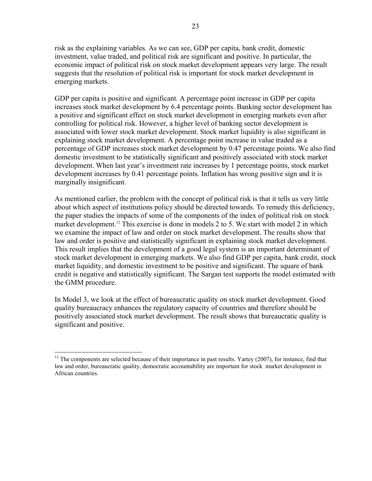risk as the explaining variables. As we can see, GDP per capita, bank credit, domestic investment, value traded, and political risk are significant and positive. In particular, the economic impact of political risk on stock market development appears very large. The result suggests that the resolution of political risk is important for stock market development in emerging markets.

GDP per capita is positive and significant. A percentage point increase in GDP per capita increases stock market development by 6.4 percentage points. Banking sector development has a positive and significant effect on stock market development in emerging markets even after controlling for political risk. However, a higher level of banking sector development is associated with lower stock market development. Stock market liquidity is also significant in explaining stock market development. A percentage point increase in value traded as a percentage of GDP increases stock market development by 0.47 percentage points. We also find domestic investment to be statistically significant and positively associated with stock market development. When last year's investment rate increases by 1 percentage points, stock market development increases by 0.41 percentage points. Inflation has wrong positive sign and it is marginally insignificant.

As mentioned earlier, the problem with the concept of political risk is that it tells us very little about which aspect of institutions policy should be directed towards. To remedy this deficiency, the paper studies the impacts of some of the components of the index of political risk on stock market development.<sup>12</sup> This exercise is done in models 2 to 5. We start with model 2 in which we examine the impact of law and order on stock market development. The results show that law and order is positive and statistically significant in explaining stock market development. This result implies that the development of a good legal system is an important determinant of stock market development in emerging markets. We also find GDP per capita, bank credit, stock market liquidity, and domestic investment to be positive and significant. The square of bank credit is negative and statistically significant. The Sargan test supports the model estimated with the GMM procedure.

In Model 3, we look at the effect of bureaucratic quality on stock market development. Good quality bureaucracy enhances the regulatory capacity of countries and therefore should be positively associated stock market development. The result shows that bureaucratic quality is significant and positive.

 $\overline{a}$ 

 $12$  The components are selected because of their importance in past results. Yartey (2007), for instance, find that law and order, bureaucratic quality, democratic accountability are important for stock market development in African countries.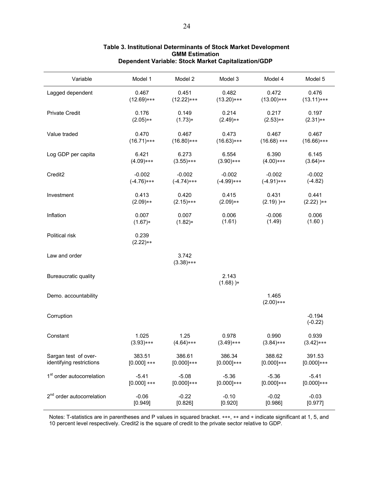| Variable                              | Model 1             | Model 2               | Model 3              | Model 4               | Model 5               |
|---------------------------------------|---------------------|-----------------------|----------------------|-----------------------|-----------------------|
| Lagged dependent                      | 0.467               | 0.451                 | 0.482                | 0.472                 | 0.476                 |
|                                       | $(12.69)$ ***       | $(12.22)***$          | $(13.20)$ ***        | $(13.00)***$          | $(13.11)$ ***         |
| <b>Private Credit</b>                 | 0.176               | 0.149                 | 0.214                | 0.217                 | 0.197                 |
|                                       | $(2.05)**$          | $(1.73)*$             | $(2.49)**$           | $(2.53)**$            | $(2.31)**$            |
| Value traded                          | 0.470               | 0.467                 | 0.473                | 0.467                 | 0.467                 |
|                                       | $(16.71)$ ***       | $(16.80)$ ***         | $(16.63)***$         | $(16.68)$ ***         | $(16.66)***$          |
| Log GDP per capita                    | 6.421               | 6.273                 | 6.554                | 6.390                 | 6.145                 |
|                                       | $(4.09)$ ***        | $(3.55)$ ***          | $(3.90)$ ***         | $(4.00)$ ***          | $(3.64)$ **           |
| Credit <sub>2</sub>                   | $-0.002$            | $-0.002$              | $-0.002$             | $-0.002$              | $-0.002$              |
|                                       | $(-4.76)$ ***       | $(-4.74)$ ***         | $(-4.99)$ ***        | $(-4.91)$ ***         | $(-4.82)$             |
| Investment                            | 0.413               | 0.420                 | 0.415                | 0.431                 | 0.441                 |
|                                       | $(2.09)**$          | $(2.15)$ ***          | $(2.09)**$           | $(2.19)$ )**          | $(2.22)$ )**          |
| Inflation                             | 0.007               | 0.007                 | 0.006                | $-0.006$              | 0.006                 |
|                                       | $(1.67)*$           | $(1.82)*$             | (1.61)               | (1.49)                | (1.60)                |
| Political risk                        | 0.239<br>$(2.22)**$ |                       |                      |                       |                       |
| Law and order                         |                     | 3.742<br>$(3.38)$ *** |                      |                       |                       |
| Bureaucratic quality                  |                     |                       | 2.143<br>$(1.68)$ )* |                       |                       |
| Demo. accountability                  |                     |                       |                      | 1.465<br>$(2.00)$ *** |                       |
| Corruption                            |                     |                       |                      |                       | $-0.194$<br>$(-0.22)$ |
| Constant                              | 1.025               | 1.25                  | 0.978                | 0.990                 | 0.939                 |
|                                       | $(3.93)$ ***        | $(4.64)$ ***          | $(3.49)$ ***         | $(3.84)$ ***          | $(3.42)$ ***          |
| Sargan test of over-                  | 383.51              | 386.61                | 386.34               | 388.62                | 391.53                |
| identifying restrictions              | $[0.000]$ ***       | $[0.000]***$          | $[0.000]***$         | $[0.000]***$          | $[0.000]***$          |
| 1 <sup>st</sup> order autocorrelation | $-5.41$             | $-5.08$               | $-5.36$              | $-5.36$               | $-5.41$               |
|                                       | $[0.000]$ ***       | $[0.000]***$          | $[0.000]***$         | $[0.000]***$          | $[0.000]***$          |
| 2 <sup>nd</sup> order autocorrelation | $-0.06$             | $-0.22$               | $-0.10$              | $-0.02$               | $-0.03$               |
|                                       | [0.949]             | [0.826]               | [0.920]              | [0.986]               | [0.977]               |

#### **Table 3. Institutional Determinants of Stock Market Development GMM Estimation Dependent Variable: Stock Market Capitalization/GDP**

Notes: T-statistics are in parentheses and P values in squared bracket. ∗∗∗, ∗∗ and ∗ indicate significant at 1, 5, and 10 percent level respectively. Credit2 is the square of credit to the private sector relative to GDP.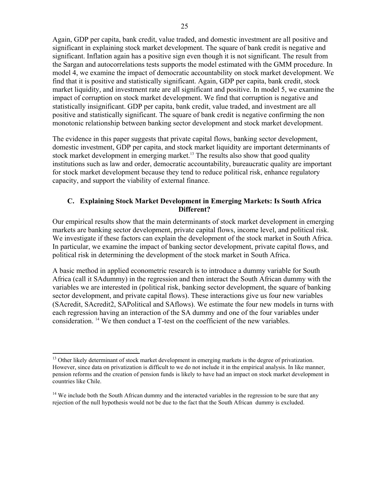Again, GDP per capita, bank credit, value traded, and domestic investment are all positive and significant in explaining stock market development. The square of bank credit is negative and significant. Inflation again has a positive sign even though it is not significant. The result from the Sargan and autocorrelations tests supports the model estimated with the GMM procedure. In model 4, we examine the impact of democratic accountability on stock market development. We find that it is positive and statistically significant. Again, GDP per capita, bank credit, stock market liquidity, and investment rate are all significant and positive. In model 5, we examine the impact of corruption on stock market development. We find that corruption is negative and statistically insignificant. GDP per capita, bank credit, value traded, and investment are all positive and statistically significant. The square of bank credit is negative confirming the non monotonic relationship between banking sector development and stock market development.

The evidence in this paper suggests that private capital flows, banking sector development, domestic investment, GDP per capita, and stock market liquidity are important determinants of stock market development in emerging market.<sup>13</sup> The results also show that good quality institutions such as law and order, democratic accountability, bureaucratic quality are important for stock market development because they tend to reduce political risk, enhance regulatory capacity, and support the viability of external finance.

# **C. Explaining Stock Market Development in Emerging Markets: Is South Africa Different?**

Our empirical results show that the main determinants of stock market development in emerging markets are banking sector development, private capital flows, income level, and political risk. We investigate if these factors can explain the development of the stock market in South Africa. In particular, we examine the impact of banking sector development, private capital flows, and political risk in determining the development of the stock market in South Africa.

A basic method in applied econometric research is to introduce a dummy variable for South Africa (call it SAdummy) in the regression and then interact the South African dummy with the variables we are interested in (political risk, banking sector development, the square of banking sector development, and private capital flows). These interactions give us four new variables (SAcredit, SAcredit2, SAPolitical and SAflows). We estimate the four new models in turns with each regression having an interaction of the SA dummy and one of the four variables under consideration. 14 We then conduct a T-test on the coefficient of the new variables.

 $\overline{a}$ 

<sup>&</sup>lt;sup>13</sup> Other likely determinant of stock market development in emerging markets is the degree of privatization. However, since data on privatization is difficult to we do not include it in the empirical analysis. In like manner, pension reforms and the creation of pension funds is likely to have had an impact on stock market development in countries like Chile.

<sup>&</sup>lt;sup>14</sup> We include both the South African dummy and the interacted variables in the regression to be sure that any rejection of the null hypothesis would not be due to the fact that the South African dummy is excluded.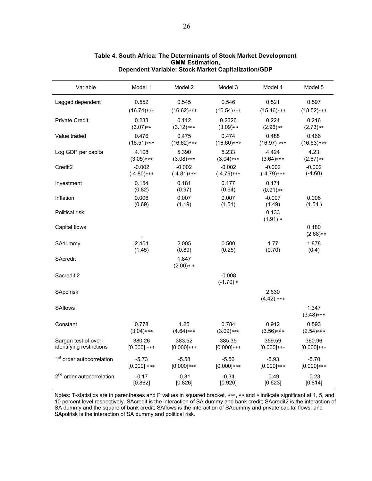| Variable                              | Model 1         | Model 2             | Model 3                 | Model 4               | Model 5               |
|---------------------------------------|-----------------|---------------------|-------------------------|-----------------------|-----------------------|
| Lagged dependent                      | 0.552           | 0.545               | 0.546                   | 0.521                 | 0.597                 |
|                                       | $(16.74)$ ***   | $(16.62)$ ***       | $(16.54)$ ***           | $(15.46)$ ***         | $(18.52)***$          |
| <b>Private Credit</b>                 | 0.233           | 0.112               | 0.2326                  | 0.224                 | 0.216                 |
|                                       | $(3.07)**$      | $(3.12)$ ***        | $(3.09)**$              | $(2.96)**$            | $(2.73)**$            |
| Value traded                          | 0.476           | 0.475               | 0.474                   | 0.488                 | 0.466                 |
|                                       | $(16.51)$ ***   | $(16.62)$ ***       | $(16.60)$ ***           | $(16.97)$ ***         | $(16.63)***$          |
| Log GDP per capita                    | 4.108           | 5.390               | 5.233                   | 4.424                 | 4.23                  |
|                                       | $(3.05)$ ***    | $(3.08)$ ***        | $(3.04)$ ***            | $(3.64)$ ***          | $(2.67)**$            |
| Credit <sub>2</sub>                   | $-0.002$        | $-0.002$            | $-0.002$                | $-0.002$              | $-0.002$              |
|                                       | $(-4.80)$ ***   | $(-4.81)$ ***       | $(-4.79)$ ***           | $(-4.79)$ ***         | $(-4.60)$             |
| Investment                            | 0.154<br>(0.82) | 0.181<br>(0.97)     | 0.177<br>(0.94)         | 0.171<br>$(0.91)**$   |                       |
| Inflation                             | 0.006           | 0.007               | 0.007                   | $-0.007$              | 0.006                 |
|                                       | (0.69)          | (1.19)              | (1.51)                  | (1.49)                | (1.54)                |
| Political risk                        |                 |                     |                         | 0.133<br>$(1.91)$ *   |                       |
| Capital flows                         |                 |                     |                         |                       | 0.180<br>$(2.68)**$   |
| SAdummy                               | 2.454           | 2.005               | 0.500                   | 1.77                  | 1.878                 |
|                                       | (1.45)          | (0.89)              | (0.25)                  | (0.70)                | (0.4)                 |
| SAcredit                              |                 | 1.847<br>$(2.00)**$ |                         |                       |                       |
| Sacredit 2                            |                 |                     | $-0.008$<br>$(-1.70)$ * |                       |                       |
| SApolrisk                             |                 |                     |                         | 2.630<br>$(4.42)$ *** |                       |
| <b>SAflows</b>                        |                 |                     |                         |                       | 1.347<br>$(3.48)$ *** |
| Constant                              | 0.778           | 1.25                | 0.784                   | 0.912                 | 0.593                 |
|                                       | $(3.04)$ ***    | $(4.64)$ ***        | $(3.09)$ ***            | $(3.56)$ ***          | $(2.54)$ ***          |
| Sargan test of over-                  | 380.26          | 383.52              | 385.35                  | 359.59                | 360.96                |
| identifying restrictions              | $[0.000]$ ***   | $[0.000]***$        | $[0.000]***$            | $[0.000]***$          | $[0.000]***$          |
| 1 <sup>st</sup> order autocorrelation | $-5.73$         | $-5.58$             | $-5.56$                 | $-5.93$               | $-5.70$               |
|                                       | $[0.000]$ ***   | $[0.000]***$        | $[0.000]***$            | $[0.000]***$          | $[0.000]***$          |
| 2 <sup>nd</sup> order autocorrelation | $-0.17$         | $-0.31$             | $-0.34$                 | $-0.49$               | $-0.23$               |
|                                       | [0.862]         | [0.826]             | [0.920]                 | [0.623]               | [0.814]               |

#### **Table 4. South Africa: The Determinants of Stock Market Development GMM Estimation, Dependent Variable: Stock Market Capitalization/GDP**

Notes: T-statistics are in parentheses and P values in squared bracket. ∗∗∗, ∗∗ and ∗ indicate significant at 1, 5, and 10 percent level respectively. SAcredit is the interaction of SA dummy and bank credit; SAcredit2 is the interaction of SA dummy and the square of bank credit; SAflows is the interaction of SAdummy and private capital flows; and SApolrisk is the interaction of SA dummy and political risk.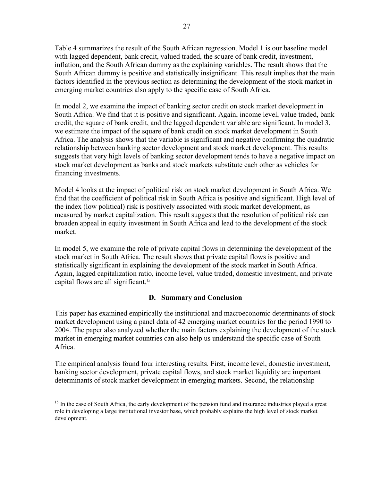Table 4 summarizes the result of the South African regression. Model 1 is our baseline model with lagged dependent, bank credit, valued traded, the square of bank credit, investment, inflation, and the South African dummy as the explaining variables. The result shows that the South African dummy is positive and statistically insignificant. This result implies that the main factors identified in the previous section as determining the development of the stock market in emerging market countries also apply to the specific case of South Africa.

In model 2, we examine the impact of banking sector credit on stock market development in South Africa. We find that it is positive and significant. Again, income level, value traded, bank credit, the square of bank credit, and the lagged dependent variable are significant. In model 3, we estimate the impact of the square of bank credit on stock market development in South Africa. The analysis shows that the variable is significant and negative confirming the quadratic relationship between banking sector development and stock market development. This results suggests that very high levels of banking sector development tends to have a negative impact on stock market development as banks and stock markets substitute each other as vehicles for financing investments.

Model 4 looks at the impact of political risk on stock market development in South Africa. We find that the coefficient of political risk in South Africa is positive and significant. High level of the index (low political) risk is positively associated with stock market development, as measured by market capitalization. This result suggests that the resolution of political risk can broaden appeal in equity investment in South Africa and lead to the development of the stock market.

In model 5, we examine the role of private capital flows in determining the development of the stock market in South Africa. The result shows that private capital flows is positive and statistically significant in explaining the development of the stock market in South Africa. Again, lagged capitalization ratio, income level, value traded, domestic investment, and private capital flows are all significant.<sup>15</sup>

## **D. Summary and Conclusion**

This paper has examined empirically the institutional and macroeconomic determinants of stock market development using a panel data of 42 emerging market countries for the period 1990 to 2004. The paper also analyzed whether the main factors explaining the development of the stock market in emerging market countries can also help us understand the specific case of South Africa.

The empirical analysis found four interesting results. First, income level, domestic investment, banking sector development, private capital flows, and stock market liquidity are important determinants of stock market development in emerging markets. Second, the relationship

<u>.</u>

<sup>&</sup>lt;sup>15</sup> In the case of South Africa, the early development of the pension fund and insurance industries played a great role in developing a large institutional investor base, which probably explains the high level of stock market development.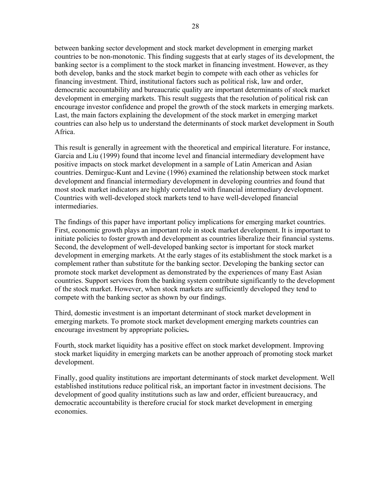between banking sector development and stock market development in emerging market countries to be non-monotonic. This finding suggests that at early stages of its development, the banking sector is a compliment to the stock market in financing investment. However, as they both develop, banks and the stock market begin to compete with each other as vehicles for financing investment. Third, institutional factors such as political risk, law and order, democratic accountability and bureaucratic quality are important determinants of stock market development in emerging markets. This result suggests that the resolution of political risk can encourage investor confidence and propel the growth of the stock markets in emerging markets. Last, the main factors explaining the development of the stock market in emerging market countries can also help us to understand the determinants of stock market development in South Africa.

This result is generally in agreement with the theoretical and empirical literature. For instance, Garcia and Liu (1999) found that income level and financial intermediary development have positive impacts on stock market development in a sample of Latin American and Asian countries. Demirguc-Kunt and Levine (1996) examined the relationship between stock market development and financial intermediary development in developing countries and found that most stock market indicators are highly correlated with financial intermediary development. Countries with well-developed stock markets tend to have well-developed financial intermediaries.

The findings of this paper have important policy implications for emerging market countries. First, economic growth plays an important role in stock market development. It is important to initiate policies to foster growth and development as countries liberalize their financial systems. Second, the development of well-developed banking sector is important for stock market development in emerging markets. At the early stages of its establishment the stock market is a complement rather than substitute for the banking sector. Developing the banking sector can promote stock market development as demonstrated by the experiences of many East Asian countries. Support services from the banking system contribute significantly to the development of the stock market. However, when stock markets are sufficiently developed they tend to compete with the banking sector as shown by our findings.

Third, domestic investment is an important determinant of stock market development in emerging markets. To promote stock market development emerging markets countries can encourage investment by appropriate policies**.** 

Fourth, stock market liquidity has a positive effect on stock market development. Improving stock market liquidity in emerging markets can be another approach of promoting stock market development.

Finally, good quality institutions are important determinants of stock market development. Well established institutions reduce political risk, an important factor in investment decisions. The development of good quality institutions such as law and order, efficient bureaucracy, and democratic accountability is therefore crucial for stock market development in emerging economies.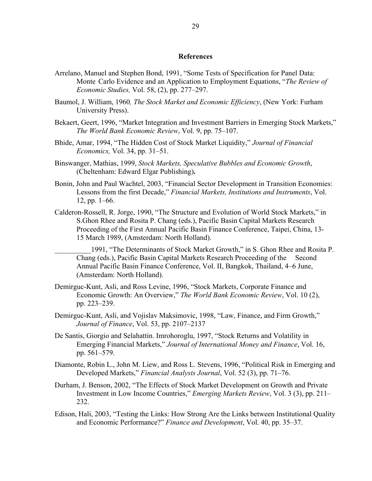#### **References**

- Arrelano, Manuel and Stephen Bond, 1991, "Some Tests of Specification for Panel Data: Monte Carlo Evidence and an Application to Employment Equations, "*The Review of Economic Studies,* Vol. 58, (2), pp. 277–297.
- Baumol, J. William, 1960*, The Stock Market and Economic Efficiency*, (New York: Furham University Press).
- Bekaert, Geert, 1996, "Market Integration and Investment Barriers in Emerging Stock Markets," *The World Bank Economic Review*, Vol. 9, pp. 75–107.
- Bhide, Amar, 1994, "The Hidden Cost of Stock Market Liquidity," *Journal of Financial Economics,* Vol. 34, pp. 31–51.
- Binswanger, Mathias, 1999, *Stock Markets, Speculative Bubbles and Economic Growth*, (Cheltenham: Edward Elgar Publishing)**.**
- Bonin, John and Paul Wachtel, 2003, "Financial Sector Development in Transition Economies: Lessons from the first Decade," *Financial Markets, Institutions and Instruments*, Vol. 12, pp. 1–66.
- Calderon-Rossell, R. Jorge, 1990, "The Structure and Evolution of World Stock Markets," in S.Ghon Rhee and Rosita P. Chang (eds.), Pacific Basin Capital Markets Research Proceeding of the First Annual Pacific Basin Finance Conference, Taipei, China, 13- 15 March 1989, (Amsterdam: North Holland).

\_\_\_\_\_\_\_\_\_\_1991, "The Determinants of Stock Market Growth," in S. Ghon Rhee and Rosita P. Chang (eds.), Pacific Basin Capital Markets Research Proceeding of the Second Annual Pacific Basin Finance Conference, Vol. II, Bangkok, Thailand, 4–6 June, (Amsterdam: North Holland).

- Demirguc-Kunt, Asli, and Ross Levine, 1996, "Stock Markets, Corporate Finance and Economic Growth: An Overview," *The World Bank Economic Review*, Vol. 10 (2), pp. 223–239.
- Demirguc-Kunt, Asli, and Vojislav Maksimovic, 1998, "Law, Finance, and Firm Growth," *Journal of Finance*, Vol. 53, pp. 2107–2137
- De Santis, Giorgio and Selahattin. Imrohoroglu, 1997, "Stock Returns and Volatility in Emerging Financial Markets," *Journal of International Money and Finance*, Vol. 16, pp. 561–579.
- Diamonte, Robin L., John M. Liew, and Ross L. Stevens, 1996, "Political Risk in Emerging and Developed Markets," *Financial Analysts Journal*, Vol. 52 (3), pp. 71–76.
- Durham, J. Benson, 2002, "The Effects of Stock Market Development on Growth and Private Investment in Low Income Countries," *Emerging Markets Review*, Vol. 3 (3), pp. 211– 232.
- Edison, Hali, 2003, "Testing the Links: How Strong Are the Links between Institutional Quality and Economic Performance?" *Finance and Development*, Vol. 40, pp. 35–37.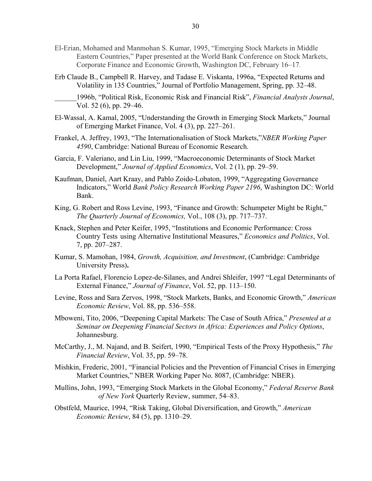- El-Erian, Mohamed and Manmohan S. Kumar, 1995, "Emerging Stock Markets in Middle Eastern Countries," Paper presented at the World Bank Conference on Stock Markets, Corporate Finance and Economic Growth, Washington DC, February 16–17.
- Erb Claude B., Campbell R. Harvey, and Tadase E. Viskanta, 1996a, "Expected Returns and Volatility in 135 Countries," Journal of Portfolio Management, Spring, pp. 32–48.

\_\_\_\_\_\_1996b, "Political Risk, Economic Risk and Financial Risk", *Financial Analysts Journal*, Vol. 52 (6), pp. 29–46.

- El-Wassal, A. Kamal, 2005, "Understanding the Growth in Emerging Stock Markets," Journal of Emerging Market Finance, Vol. 4 (3), pp. 227–261.
- Frankel, A. Jeffrey, 1993, "The Internationalisation of Stock Markets,"*NBER Working Paper 4590*, Cambridge: National Bureau of Economic Research.
- Garcia, F. Valeriano, and Lin Liu, 1999, "Macroeconomic Determinants of Stock Market Development," *Journal of Applied Economics*, Vol. 2 (1), pp. 29–59.
- Kaufman, Daniel, Aart Kraay, and Pablo Zoido-Lobaton, 1999, "Aggregating Governance Indicators," World *Bank Policy Research Working Paper 2196*, Washington DC: World Bank.
- King, G. Robert and Ross Levine, 1993, "Finance and Growth: Schumpeter Might be Right," *The Quarterly Journal of Economics,* Vol., 108 (3), pp. 717–737.
- Knack, Stephen and Peter Keifer, 1995, "Institutions and Economic Performance: Cross Country Tests using Alternative Institutional Measures," *Economics and Politics*, Vol. 7, pp. 207–287.
- Kumar, S. Mamohan, 1984, *Growth, Acquisition, and Investment*, (Cambridge: Cambridge University Press)**.**
- La Porta Rafael, Florencio Lopez-de-Silanes, and Andrei Shleifer, 1997 "Legal Determinants of External Finance," *Journal of Finance*, Vol. 52, pp. 113–150.
- Levine, Ross and Sara Zervos, 1998, "Stock Markets, Banks, and Economic Growth," *American Economic Review*, Vol. 88, pp. 536–558.
- Mboweni, Tito, 2006, "Deepening Capital Markets: The Case of South Africa," *Presented at a Seminar on Deepening Financial Sectors in Africa: Experiences and Policy Options*, Johannesburg.
- McCarthy, J., M. Najand, and B. Seifert, 1990, "Empirical Tests of the Proxy Hypothesis," *The Financial Review*, Vol. 35, pp. 59–78.
- Mishkin, Frederic, 2001, "Financial Policies and the Prevention of Financial Crises in Emerging Market Countries," NBER Working Paper No. 8087, (Cambridge: NBER).
- Mullins, John, 1993, "Emerging Stock Markets in the Global Economy," *Federal Reserve Bank of New York* Quarterly Review, summer, 54–83.
- Obstfeld, Maurice, 1994, "Risk Taking, Global Diversification, and Growth," *American Economic Review*, 84 (5), pp. 1310–29.